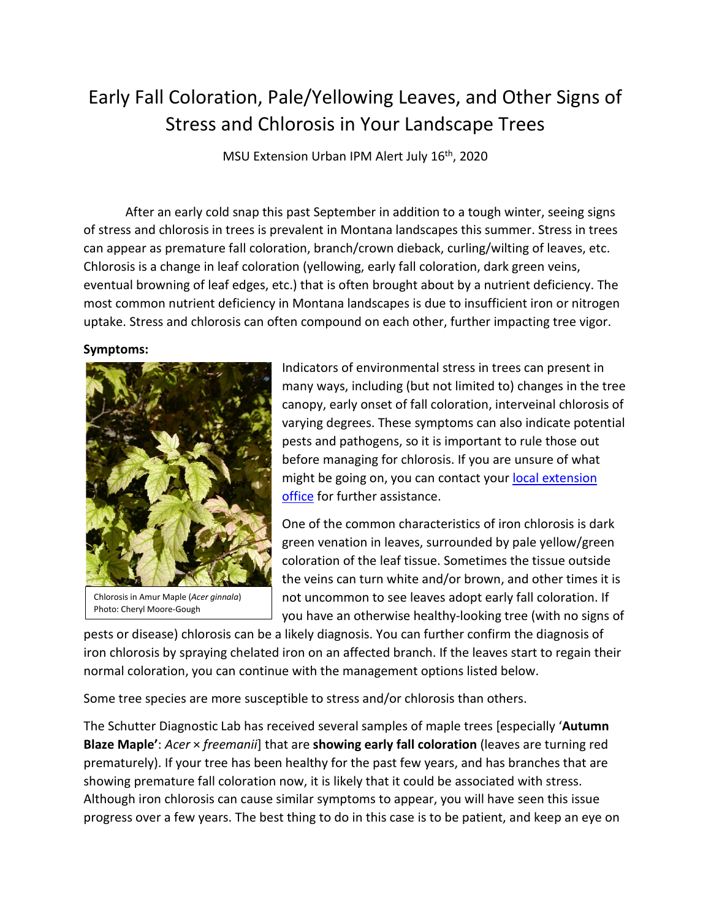## Early Fall Coloration, Pale/Yellowing Leaves, and Other Signs of Stress and Chlorosis in Your Landscape Trees

MSU Extension Urban IPM Alert July 16<sup>th</sup>, 2020

After an early cold snap this past September in addition to a tough winter, seeing signs of stress and chlorosis in trees is prevalent in Montana landscapes this summer. Stress in trees can appear as premature fall coloration, branch/crown dieback, curling/wilting of leaves, etc. Chlorosis is a change in leaf coloration (yellowing, early fall coloration, dark green veins, eventual browning of leaf edges, etc.) that is often brought about by a nutrient deficiency. The most common nutrient deficiency in Montana landscapes is due to insufficient iron or nitrogen uptake. Stress and chlorosis can often compound on each other, further impacting tree vigor.

## **Symptoms:**



Chlorosis in Amur Maple (*Acer ginnala*) Photo: Cheryl Moore-Gough

Indicators of environmental stress in trees can present in many ways, including (but not limited to) changes in the tree canopy, early onset of fall coloration, interveinal chlorosis of varying degrees. These symptoms can also indicate potential pests and pathogens, so it is important to rule those out before managing for chlorosis. If you are unsure of what might be going on, you can contact your local extension [office](http://www.msuextension.org/localoffices.html) for further assistance.

One of the common characteristics of iron chlorosis is dark green venation in leaves, surrounded by pale yellow/green coloration of the leaf tissue. Sometimes the tissue outside the veins can turn white and/or brown, and other times it is not uncommon to see leaves adopt early fall coloration. If you have an otherwise healthy-looking tree (with no signs of

pests or disease) chlorosis can be a likely diagnosis. You can further confirm the diagnosis of iron chlorosis by spraying chelated iron on an affected branch. If the leaves start to regain their normal coloration, you can continue with the management options listed below.

Some tree species are more susceptible to stress and/or chlorosis than others.

The Schutter Diagnostic Lab has received several samples of maple trees [especially '**Autumn Blaze Maple'**: *Acer* × *freemanii*] that are **showing early fall coloration** (leaves are turning red prematurely). If your tree has been healthy for the past few years, and has branches that are showing premature fall coloration now, it is likely that it could be associated with stress. Although iron chlorosis can cause similar symptoms to appear, you will have seen this issue progress over a few years. The best thing to do in this case is to be patient, and keep an eye on